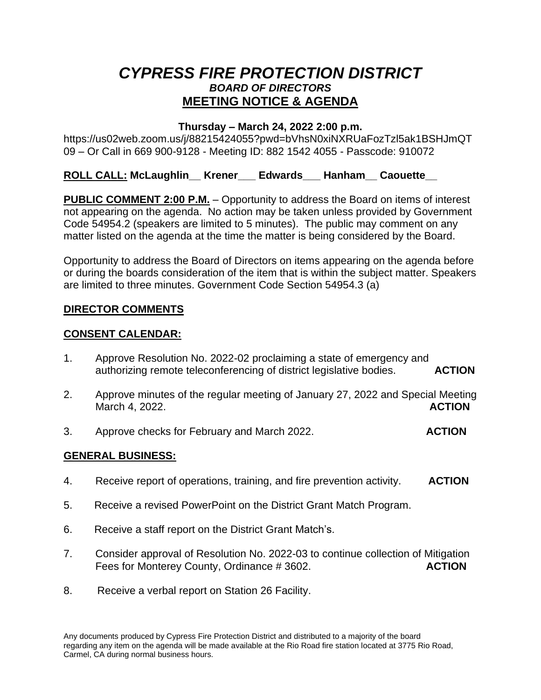# *CYPRESS FIRE PROTECTION DISTRICT BOARD OF DIRECTORS*  **MEETING NOTICE & AGENDA**

#### **Thursday – March 24, 2022 2:00 p.m.**

https://us02web.zoom.us/j/88215424055?pwd=bVhsN0xiNXRUaFozTzl5ak1BSHJmQT 09 – Or Call in 669 900-9128 - Meeting ID: 882 1542 4055 - Passcode: 910072

#### **ROLL CALL: McLaughlin\_\_ Krener\_\_\_ Edwards\_\_\_ Hanham\_\_ Caouette\_\_**

**PUBLIC COMMENT 2:00 P.M.** – Opportunity to address the Board on items of interest not appearing on the agenda. No action may be taken unless provided by Government Code 54954.2 (speakers are limited to 5 minutes). The public may comment on any matter listed on the agenda at the time the matter is being considered by the Board.

Opportunity to address the Board of Directors on items appearing on the agenda before or during the boards consideration of the item that is within the subject matter. Speakers are limited to three minutes. Government Code Section 54954.3 (a)

## **DIRECTOR COMMENTS**

#### **CONSENT CALENDAR:**

- 1. Approve Resolution No. 2022-02 proclaiming a state of emergency and authorizing remote teleconferencing of district legislative bodies. **ACTION**
- 2. Approve minutes of the regular meeting of January 27, 2022 and Special Meeting March 4, 2022. **ACTION**
- 3. Approve checks for February and March 2022. **ACTION**

#### **GENERAL BUSINESS:**

- 4. Receive report of operations, training, and fire prevention activity. **ACTION**
- 5. Receive a revised PowerPoint on the District Grant Match Program.
- 6. Receive a staff report on the District Grant Match's.
- 7. Consider approval of Resolution No. 2022-03 to continue collection of Mitigation Fees for Monterey County, Ordinance # 3602. **ACTION**
- 8. Receive a verbal report on Station 26 Facility.